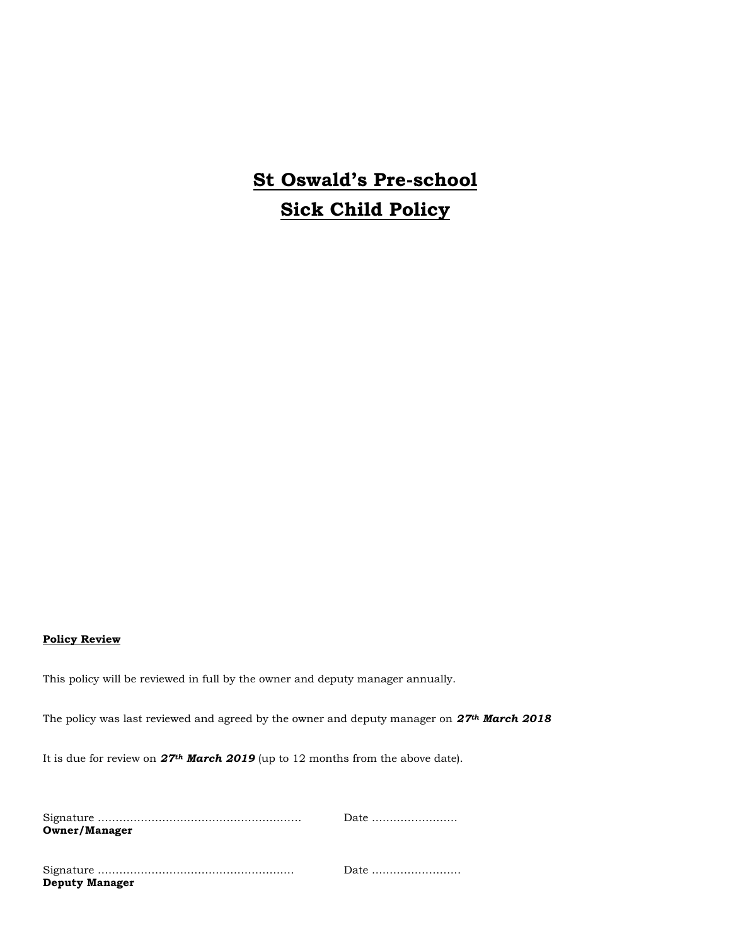## **St Oswald's Pre-school Sick Child Policy**

## **Policy Review**

This policy will be reviewed in full by the owner and deputy manager annually.

The policy was last reviewed and agreed by the owner and deputy manager on *27th March 2018*

It is due for review on *27th March 2019* (up to 12 months from the above date).

|                       | Date |
|-----------------------|------|
| <b>Owner/Manager</b>  |      |
|                       |      |
|                       |      |
|                       | Date |
| <b>Deputy Manager</b> |      |